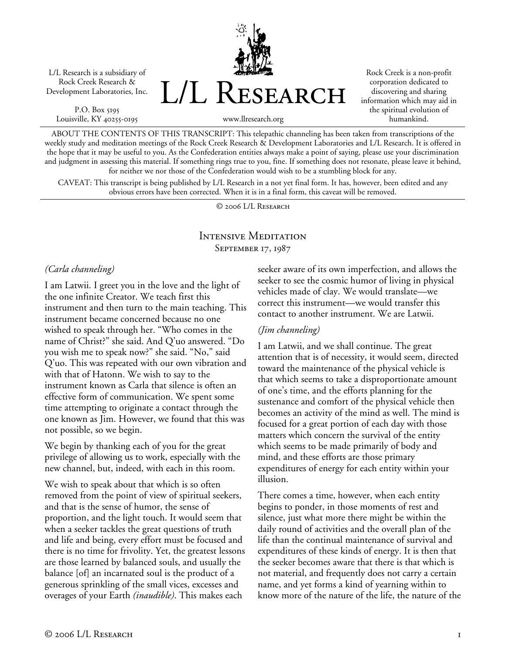L/L Research is a subsidiary of Rock Creek Research & Development Laboratories, Inc.

P.O. Box 5195 Louisville, KY 40255-0195



Rock Creek is a non-profit corporation dedicated to discovering and sharing information which may aid in the spiritual evolution of humankind.

www.llresearch.org

ABOUT THE CONTENTS OF THIS TRANSCRIPT: This telepathic channeling has been taken from transcriptions of the weekly study and meditation meetings of the Rock Creek Research & Development Laboratories and L/L Research. It is offered in the hope that it may be useful to you. As the Confederation entities always make a point of saying, please use your discrimination and judgment in assessing this material. If something rings true to you, fine. If something does not resonate, please leave it behind, for neither we nor those of the Confederation would wish to be a stumbling block for any.

CAVEAT: This transcript is being published by L/L Research in a not yet final form. It has, however, been edited and any obvious errors have been corrected. When it is in a final form, this caveat will be removed.

© 2006 L/L Research

### Intensive Meditation September 17, 1987

#### *(Carla channeling)*

I am Latwii. I greet you in the love and the light of the one infinite Creator. We teach first this instrument and then turn to the main teaching. This instrument became concerned because no one wished to speak through her. "Who comes in the name of Christ?" she said. And Q'uo answered. "Do you wish me to speak now?" she said. "No," said Q'uo. This was repeated with our own vibration and with that of Hatonn. We wish to say to the instrument known as Carla that silence is often an effective form of communication. We spent some time attempting to originate a contact through the one known as Jim. However, we found that this was not possible, so we begin.

We begin by thanking each of you for the great privilege of allowing us to work, especially with the new channel, but, indeed, with each in this room.

We wish to speak about that which is so often removed from the point of view of spiritual seekers, and that is the sense of humor, the sense of proportion, and the light touch. It would seem that when a seeker tackles the great questions of truth and life and being, every effort must be focused and there is no time for frivolity. Yet, the greatest lessons are those learned by balanced souls, and usually the balance [of] an incarnated soul is the product of a generous sprinkling of the small vices, excesses and overages of your Earth *(inaudible)*. This makes each

seeker aware of its own imperfection, and allows the seeker to see the cosmic humor of living in physical vehicles made of clay. We would translate—we correct this instrument—we would transfer this contact to another instrument. We are Latwii.

#### *(Jim channeling)*

I am Latwii, and we shall continue. The great attention that is of necessity, it would seem, directed toward the maintenance of the physical vehicle is that which seems to take a disproportionate amount of one's time, and the efforts planning for the sustenance and comfort of the physical vehicle then becomes an activity of the mind as well. The mind is focused for a great portion of each day with those matters which concern the survival of the entity which seems to be made primarily of body and mind, and these efforts are those primary expenditures of energy for each entity within your illusion.

There comes a time, however, when each entity begins to ponder, in those moments of rest and silence, just what more there might be within the daily round of activities and the overall plan of the life than the continual maintenance of survival and expenditures of these kinds of energy. It is then that the seeker becomes aware that there is that which is not material, and frequently does not carry a certain name, and yet forms a kind of yearning within to know more of the nature of the life, the nature of the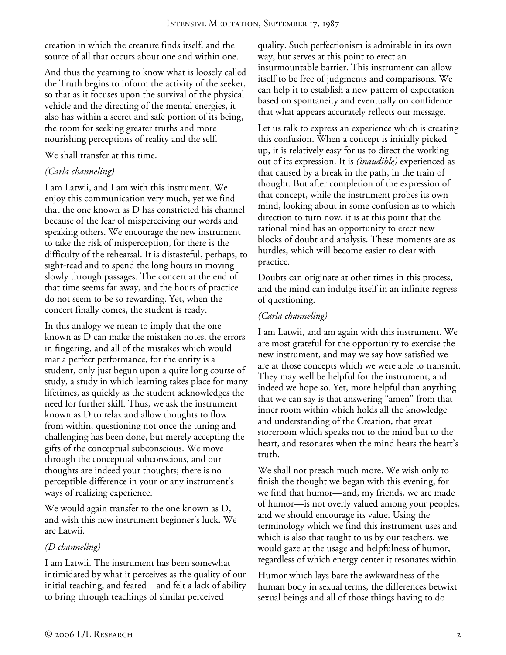creation in which the creature finds itself, and the source of all that occurs about one and within one.

And thus the yearning to know what is loosely called the Truth begins to inform the activity of the seeker, so that as it focuses upon the survival of the physical vehicle and the directing of the mental energies, it also has within a secret and safe portion of its being, the room for seeking greater truths and more nourishing perceptions of reality and the self.

We shall transfer at this time.

# *(Carla channeling)*

I am Latwii, and I am with this instrument. We enjoy this communication very much, yet we find that the one known as D has constricted his channel because of the fear of misperceiving our words and speaking others. We encourage the new instrument to take the risk of misperception, for there is the difficulty of the rehearsal. It is distasteful, perhaps, to sight-read and to spend the long hours in moving slowly through passages. The concert at the end of that time seems far away, and the hours of practice do not seem to be so rewarding. Yet, when the concert finally comes, the student is ready.

In this analogy we mean to imply that the one known as D can make the mistaken notes, the errors in fingering, and all of the mistakes which would mar a perfect performance, for the entity is a student, only just begun upon a quite long course of study, a study in which learning takes place for many lifetimes, as quickly as the student acknowledges the need for further skill. Thus, we ask the instrument known as D to relax and allow thoughts to flow from within, questioning not once the tuning and challenging has been done, but merely accepting the gifts of the conceptual subconscious. We move through the conceptual subconscious, and our thoughts are indeed your thoughts; there is no perceptible difference in your or any instrument's ways of realizing experience.

We would again transfer to the one known as D, and wish this new instrument beginner's luck. We are Latwii.

## *(D channeling)*

I am Latwii. The instrument has been somewhat intimidated by what it perceives as the quality of our initial teaching, and feared—and felt a lack of ability to bring through teachings of similar perceived

quality. Such perfectionism is admirable in its own way, but serves at this point to erect an insurmountable barrier. This instrument can allow itself to be free of judgments and comparisons. We can help it to establish a new pattern of expectation based on spontaneity and eventually on confidence that what appears accurately reflects our message.

Let us talk to express an experience which is creating this confusion. When a concept is initially picked up, it is relatively easy for us to direct the working out of its expression. It is *(inaudible)* experienced as that caused by a break in the path, in the train of thought. But after completion of the expression of that concept, while the instrument probes its own mind, looking about in some confusion as to which direction to turn now, it is at this point that the rational mind has an opportunity to erect new blocks of doubt and analysis. These moments are as hurdles, which will become easier to clear with practice.

Doubts can originate at other times in this process, and the mind can indulge itself in an infinite regress of questioning.

# *(Carla channeling)*

I am Latwii, and am again with this instrument. We are most grateful for the opportunity to exercise the new instrument, and may we say how satisfied we are at those concepts which we were able to transmit. They may well be helpful for the instrument, and indeed we hope so. Yet, more helpful than anything that we can say is that answering "amen" from that inner room within which holds all the knowledge and understanding of the Creation, that great storeroom which speaks not to the mind but to the heart, and resonates when the mind hears the heart's truth.

We shall not preach much more. We wish only to finish the thought we began with this evening, for we find that humor—and, my friends, we are made of humor—is not overly valued among your peoples, and we should encourage its value. Using the terminology which we find this instrument uses and which is also that taught to us by our teachers, we would gaze at the usage and helpfulness of humor, regardless of which energy center it resonates within.

Humor which lays bare the awkwardness of the human body in sexual terms, the differences betwixt sexual beings and all of those things having to do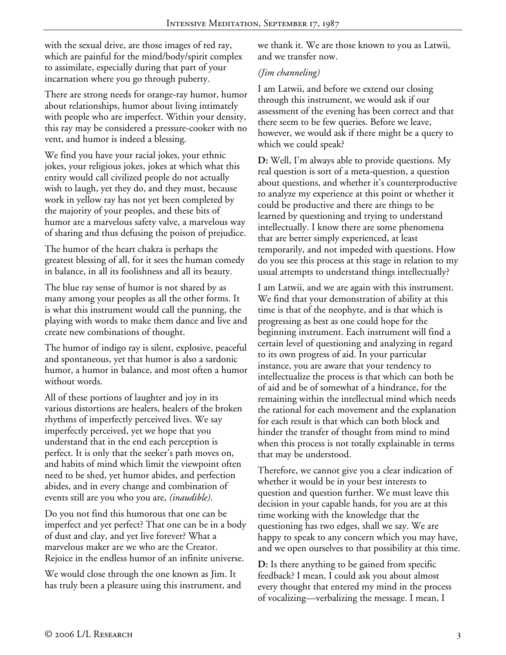with the sexual drive, are those images of red ray, which are painful for the mind/body/spirit complex to assimilate, especially during that part of your incarnation where you go through puberty.

There are strong needs for orange-ray humor, humor about relationships, humor about living intimately with people who are imperfect. Within your density, this ray may be considered a pressure-cooker with no vent, and humor is indeed a blessing.

We find you have your racial jokes, your ethnic jokes, your religious jokes, jokes at which what this entity would call civilized people do not actually wish to laugh, yet they do, and they must, because work in yellow ray has not yet been completed by the majority of your peoples, and these bits of humor are a marvelous safety valve, a marvelous way of sharing and thus defusing the poison of prejudice.

The humor of the heart chakra is perhaps the greatest blessing of all, for it sees the human comedy in balance, in all its foolishness and all its beauty.

The blue ray sense of humor is not shared by as many among your peoples as all the other forms. It is what this instrument would call the punning, the playing with words to make them dance and live and create new combinations of thought.

The humor of indigo ray is silent, explosive, peaceful and spontaneous, yet that humor is also a sardonic humor, a humor in balance, and most often a humor without words.

All of these portions of laughter and joy in its various distortions are healers, healers of the broken rhythms of imperfectly perceived lives. We say imperfectly perceived, yet we hope that you understand that in the end each perception is perfect. It is only that the seeker's path moves on, and habits of mind which limit the viewpoint often need to be shed, yet humor abides, and perfection abides, and in every change and combination of events still are you who you are, *(inaudible)*.

Do you not find this humorous that one can be imperfect and yet perfect? That one can be in a body of dust and clay, and yet live forever? What a marvelous maker are we who are the Creator. Rejoice in the endless humor of an infinite universe.

We would close through the one known as Jim. It has truly been a pleasure using this instrument, and we thank it. We are those known to you as Latwii, and we transfer now.

## *(Jim channeling)*

I am Latwii, and before we extend our closing through this instrument, we would ask if our assessment of the evening has been correct and that there seem to be few queries. Before we leave, however, we would ask if there might be a query to which we could speak?

**D:** Well, I'm always able to provide questions. My real question is sort of a meta-question, a question about questions, and whether it's counterproductive to analyze my experience at this point or whether it could be productive and there are things to be learned by questioning and trying to understand intellectually. I know there are some phenomena that are better simply experienced, at least temporarily, and not impeded with questions. How do you see this process at this stage in relation to my usual attempts to understand things intellectually?

I am Latwii, and we are again with this instrument. We find that your demonstration of ability at this time is that of the neophyte, and is that which is progressing as best as one could hope for the beginning instrument. Each instrument will find a certain level of questioning and analyzing in regard to its own progress of aid. In your particular instance, you are aware that your tendency to intellectualize the process is that which can both be of aid and be of somewhat of a hindrance, for the remaining within the intellectual mind which needs the rational for each movement and the explanation for each result is that which can both block and hinder the transfer of thought from mind to mind when this process is not totally explainable in terms that may be understood.

Therefore, we cannot give you a clear indication of whether it would be in your best interests to question and question further. We must leave this decision in your capable hands, for you are at this time working with the knowledge that the questioning has two edges, shall we say. We are happy to speak to any concern which you may have, and we open ourselves to that possibility at this time.

**D:** Is there anything to be gained from specific feedback? I mean, I could ask you about almost every thought that entered my mind in the process of vocalizing—verbalizing the message. I mean, I